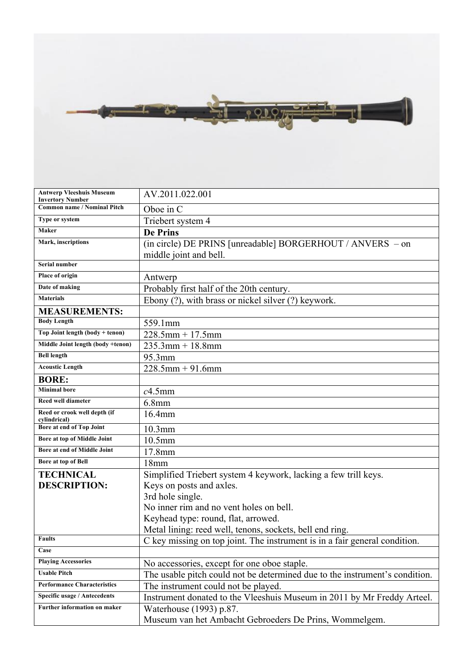

| <b>Antwerp Vleeshuis Museum</b><br><b>Invertory Number</b> | AV.2011.022.001                                                             |
|------------------------------------------------------------|-----------------------------------------------------------------------------|
| <b>Common name / Nominal Pitch</b>                         | Oboe in C                                                                   |
| Type or system                                             | Triebert system 4                                                           |
| Maker                                                      | <b>De Prins</b>                                                             |
| Mark, inscriptions                                         | (in circle) DE PRINS [unreadable] BORGERHOUT / ANVERS - on                  |
|                                                            | middle joint and bell.                                                      |
| Serial number                                              |                                                                             |
| Place of origin                                            | Antwerp                                                                     |
| Date of making                                             | Probably first half of the 20th century.                                    |
| <b>Materials</b>                                           | Ebony (?), with brass or nickel silver (?) keywork.                         |
| <b>MEASUREMENTS:</b>                                       |                                                                             |
| <b>Body Length</b>                                         | 559.1mm                                                                     |
| Top Joint length (body + tenon)                            | $228.5$ mm + 17.5mm                                                         |
| Middle Joint length (body +tenon)                          | $235.3$ mm + 18.8mm                                                         |
| <b>Bell length</b>                                         | 95.3mm                                                                      |
| <b>Acoustic Length</b>                                     | $228.5$ mm + 91.6mm                                                         |
| <b>BORE:</b>                                               |                                                                             |
| <b>Minimal</b> bore                                        | $c4.5$ mm                                                                   |
| <b>Reed well diameter</b>                                  | 6.8 <sub>mm</sub>                                                           |
| Reed or crook well depth (if<br>cylindrical)               | 16.4mm                                                                      |
| Bore at end of Top Joint                                   | $10.3$ mm                                                                   |
| Bore at top of Middle Joint                                | $10.5$ mm                                                                   |
| Bore at end of Middle Joint                                | 17.8mm                                                                      |
| Bore at top of Bell                                        | 18mm                                                                        |
| <b>TECHNICAL</b>                                           | Simplified Triebert system 4 keywork, lacking a few trill keys.             |
| <b>DESCRIPTION:</b>                                        | Keys on posts and axles.                                                    |
|                                                            | 3rd hole single.                                                            |
|                                                            | No inner rim and no vent holes on bell.                                     |
|                                                            | Keyhead type: round, flat, arrowed.                                         |
|                                                            | Metal lining: reed well, tenons, sockets, bell end ring.                    |
| <b>Faults</b>                                              | C key missing on top joint. The instrument is in a fair general condition.  |
| Case                                                       |                                                                             |
| <b>Playing Accessories</b>                                 | No accessories, except for one oboe staple.                                 |
| <b>Usable Pitch</b>                                        | The usable pitch could not be determined due to the instrument's condition. |
| <b>Performance Characteristics</b>                         | The instrument could not be played.                                         |
| Specific usage / Antecedents                               | Instrument donated to the Vleeshuis Museum in 2011 by Mr Freddy Arteel.     |
| Further information on maker                               | Waterhouse (1993) p.87.                                                     |
|                                                            | Museum van het Ambacht Gebroeders De Prins, Wommelgem.                      |